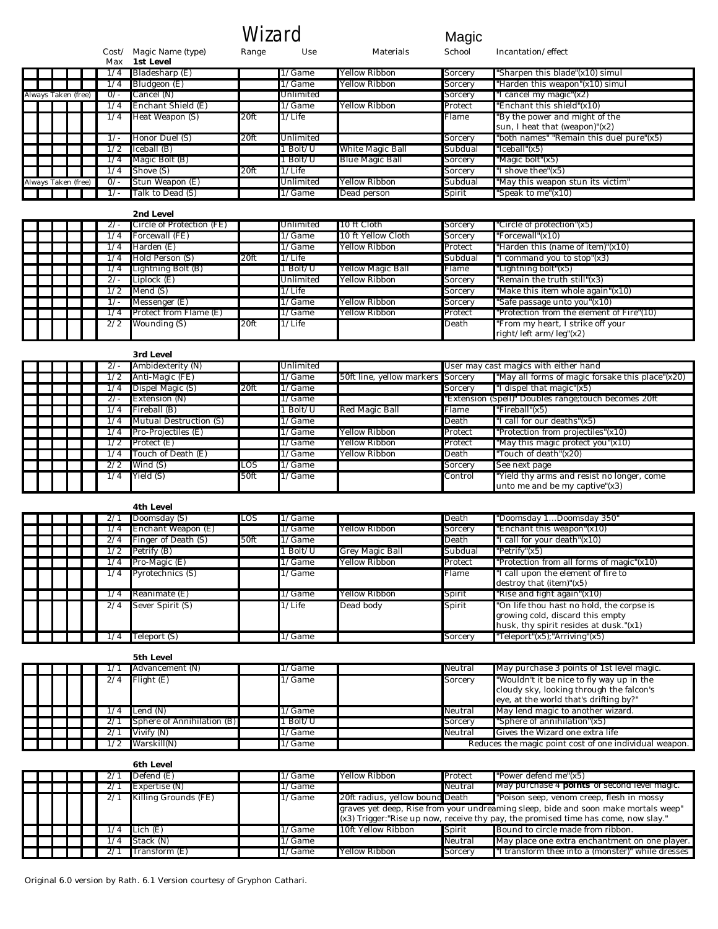$\int_{\text{Use}}^{\text{Use}}$  Magic School

Cost/ Magic Name (type) Range Use Materials School Incantation/effect

|                     |                     |  | Max        | 1st Level          |      |            |                  |         |                                                                  |
|---------------------|---------------------|--|------------|--------------------|------|------------|------------------|---------|------------------------------------------------------------------|
|                     |                     |  | 74         | Bladesharp (E)     |      | 1/Game     | Yellow Ribbon    | Sorcery | "Sharpen this blade"(x10) simul                                  |
|                     |                     |  | 4          | Bludgeon (E)       |      | $1/G$ ame  | Yellow Ribbon    | Sorcery | "Harden this weapon"(x10) simul                                  |
| Always Taken (free) |                     |  | $0/-$      | Cancel (N)         |      | Unlimited  |                  | Sorcery | "I cancel my magic"(x2)                                          |
|                     |                     |  | 74         | Enchant Shield (E) |      | $1/G$ ame  | Yellow Ribbon    | Protect | "Enchant this shield"(x10)                                       |
|                     |                     |  | 1/4        | Heat Weapon (S)    | 20ft | $1/L$ ife  |                  | Flame   | "By the power and might of the<br>sun, I heat that (weapon)"(x2) |
|                     |                     |  |            | Honor Duel (S)     | 20ft | Unlimited  |                  | Sorcery | "both names" "Remain this duel pure"(x5)                         |
|                     |                     |  |            | Iceball (B)        |      | $1$ Bolt/U | White Magic Ball | Subdual | "Iceball"(x5)                                                    |
|                     |                     |  | /4         | Magic Bolt (B)     |      | $1$ Bolt/U | Blue Magic Ball  | Sorcery | "Magic bolt"(x5)                                                 |
|                     |                     |  | $\sqrt{4}$ | Shove (S)          | 20ft | $1/L$ ife  |                  | Sorcery | "I shove thee" $(x5)$                                            |
|                     | Always Taken (free) |  | $0/-$      | Stun Weapon (E)    |      | Unlimited  | Yellow Ribbon    | Subdual | "May this weapon stun its victim"                                |
|                     |                     |  |            | Talk to Dead (S)   |      | $1/G$ ame  | Dead person      | Spirit  | "Speak to me" $(x10)$                                            |

|  |  |     | Circle of Protection (FE) |      | Unlimited | 10 ft Cloth        | Sorcery | "Circle of protection"(x5)                |
|--|--|-----|---------------------------|------|-----------|--------------------|---------|-------------------------------------------|
|  |  |     | Forcewall (FE)            |      | 1/Game    | 10 ft Yellow Cloth | Sorcery | "Forcewall"(x10)                          |
|  |  |     | Harden (E)                |      | $1/G$ ame | Yellow Ribbon      | Protect | "Harden this (name of item)" $(x10)$      |
|  |  |     | Hold Person (S)           | 20ft | $1/L$ ife |                    | Subdual | I command you to stop" $(x3)$             |
|  |  |     | Lightning Bolt (B)        |      | Bolt/U    | Yellow Magic Ball  | Flame   | "Lightning bolt"(x5)                      |
|  |  |     | Liplock (E)               |      | Unlimited | Yellow Ribbon      | Sorcery | "Remain the truth still"(x3)              |
|  |  |     | Mend (S)                  |      | $1/L$ ife |                    | Sorcery | "Make this item whole again"(x10)         |
|  |  |     | Messenger (E)             |      | $1/G$ ame | Yellow Ribbon      | Sorcery | "Safe passage unto you"(x10)              |
|  |  |     | Protect from Flame (E)    |      | 1/Game    | Yellow Ribbon      | Protect | "Protection from the element of Fire"(10) |
|  |  | 2/2 | Wounding (S)              | 20ft | $1/L$ ife |                    | Death   | "From my heart, I strike off your         |
|  |  |     |                           |      |           |                    |         | right/left $arm/leg''(x2)$                |

|  |  |     | 3rd Level              |      |           |                                   |         |                                                                              |
|--|--|-----|------------------------|------|-----------|-----------------------------------|---------|------------------------------------------------------------------------------|
|  |  |     | Ambidexterity (N)      |      | Unlimited |                                   |         | User may cast magics with either hand                                        |
|  |  |     | Anti-Magic (FE)        |      | $1/G$ ame | 50ft line, yellow markers Sorcery |         | "May all forms of magic forsake this place"(x20)                             |
|  |  |     | Dispel Magic (S)       | 20ft | 1/Game    |                                   | Sorcery | I dispel that magic"(x5)                                                     |
|  |  |     | Extension (N)          |      | 1/Game    |                                   |         | "Extension (Spell)" Doubles range;touch becomes 20ft                         |
|  |  | /4  | Fireball (B)           |      | Bolt/U    | Red Magic Ball                    | Flame   | "Fireball"(x5)                                                               |
|  |  |     | Mutual Destruction (S) |      | 1/Game    |                                   | Death   | "I call for our deaths"(x5)                                                  |
|  |  | /4  | Pro-Projectiles (E)    |      | 1/Game    | Yellow Ribbon                     | Protect | "Protection from projectiles"(x10)                                           |
|  |  |     | Protect (E)            |      | 1/Game    | Yellow Ribbon                     | Protect | "May this magic protect you"(x10)                                            |
|  |  | 74  | Touch of Death (E)     |      | 1/Game    | Yellow Ribbon                     | Death   | "Touch of death"(x20)                                                        |
|  |  | 2/2 | Wind (S)               | LOS  | 1/Game    |                                   | Sorcery | See next page                                                                |
|  |  | 74  | Yield (S)              | 50ft | 1/Game    |                                   | Control | "Yield thy arms and resist no longer, come<br>unto me and be my captive"(x3) |

|  |  |     | 4th Level           |      |            |                 |         |                                                                                                                         |
|--|--|-----|---------------------|------|------------|-----------------|---------|-------------------------------------------------------------------------------------------------------------------------|
|  |  |     | Doomsday (S)        | LOS  | 1/Game     |                 | Death   | "Doomsday 1Doomsday 350"                                                                                                |
|  |  |     | Enchant Weapon (E)  |      | 1/Game     | Yellow Ribbon   | Sorcery | "Enchant this weapon"(x10)                                                                                              |
|  |  | 2/4 | Finger of Death (S) | 50ft | 1/Game     |                 | Death   | "I call for your death"(x10)                                                                                            |
|  |  |     | Petrify (B)         |      | $1$ Bolt/U | Grey Magic Ball | Subdual | " $Petrify''(x5)$                                                                                                       |
|  |  | 4   | Pro-Magic (E)       |      | 1/Game     | Yellow Ribbon   | Protect | "Protection from all forms of magic" $(x10)$                                                                            |
|  |  | 74  | Pyrotechnics (S)    |      | 1/Game     |                 | Flame   | "I call upon the element of fire to<br>destroy that (item)" $(x5)$                                                      |
|  |  | 4   | Reanimate (E)       |      | 1/Game     | Yellow Ribbon   | Spirit  | "Rise and fight again"(x10)                                                                                             |
|  |  | 2/4 | Sever Spirit (S)    |      | $1/L$ ife  | Dead body       | Spirit  | "On life thou hast no hold, the corpse is<br>growing cold, discard this empty<br>husk, thy spirit resides at dusk."(x1) |
|  |  |     | Teleport (S)        |      | 1/Game     |                 | Sorcerv | "Teleport"(x5);"Arriving"(x5)                                                                                           |

|  |  |     | 5th Level                         |           |         |                                                                                                                                 |
|--|--|-----|-----------------------------------|-----------|---------|---------------------------------------------------------------------------------------------------------------------------------|
|  |  |     | Advancement (N)                   | 1/Game    | Neutral | May purchase 3 points of 1st level magic.                                                                                       |
|  |  | 2/4 | $F$ light $(E)$                   | $1/G$ ame | Sorcery | "Wouldn't it be nice to fly way up in the<br>cloudy sky, looking through the falcon's<br>eye, at the world that's drifting by?" |
|  |  | 74  | Lend (N)                          | 1/Game    | Neutral | May lend magic to another wizard.                                                                                               |
|  |  |     | <b>Sphere of Annihilation (B)</b> | . Bolt/U  | Sorcerv | "Sphere of annihilation"(x5)                                                                                                    |
|  |  |     | Vivify (N)                        | 1/Game    | Neutral | Gives the Wizard one extra life                                                                                                 |
|  |  |     | Warskill(N)                       | 1/Game    |         | Reduces the magic point cost of one individual weapon.                                                                          |

|  |  |  | <b>6th Level</b>     |           |                                 |         |                                                                                                                                                                             |
|--|--|--|----------------------|-----------|---------------------------------|---------|-----------------------------------------------------------------------------------------------------------------------------------------------------------------------------|
|  |  |  | Defend (E)           | 1/Game    | Yellow Ribbon                   | Protect | "Power defend me"(x5)                                                                                                                                                       |
|  |  |  | Expertise (N)        | 1/Game    |                                 | Neutral | May purchase 4 <b>points</b> of second level magic.                                                                                                                         |
|  |  |  | Killing Grounds (FE) | 1/Game    | 20ft radius, yellow bound Death |         | "Poison seep, venom creep, flesh in mossy                                                                                                                                   |
|  |  |  |                      |           |                                 |         | graves yet deep, Rise from your undreaming sleep, bide and soon make mortals weep"<br>$(x3)$ Trigger: "Rise up now, receive thy pay, the promised time has come, now slay." |
|  |  |  | Lich (E)             | $1/G$ ame | 10ft Yellow Ribbon              | Spirit  | Bound to circle made from ribbon.                                                                                                                                           |
|  |  |  | Stack (N)            | 1/Game    |                                 | Neutral | May place one extra enchantment on one player.                                                                                                                              |
|  |  |  | Transform (E)        | 1/Game    | Yellow Ribbon                   | Sorcery | I transform thee into a (monster)" while dresses                                                                                                                            |

Original 6.0 version by Rath. 6.1 Version courtesy of Gryphon Cathari.